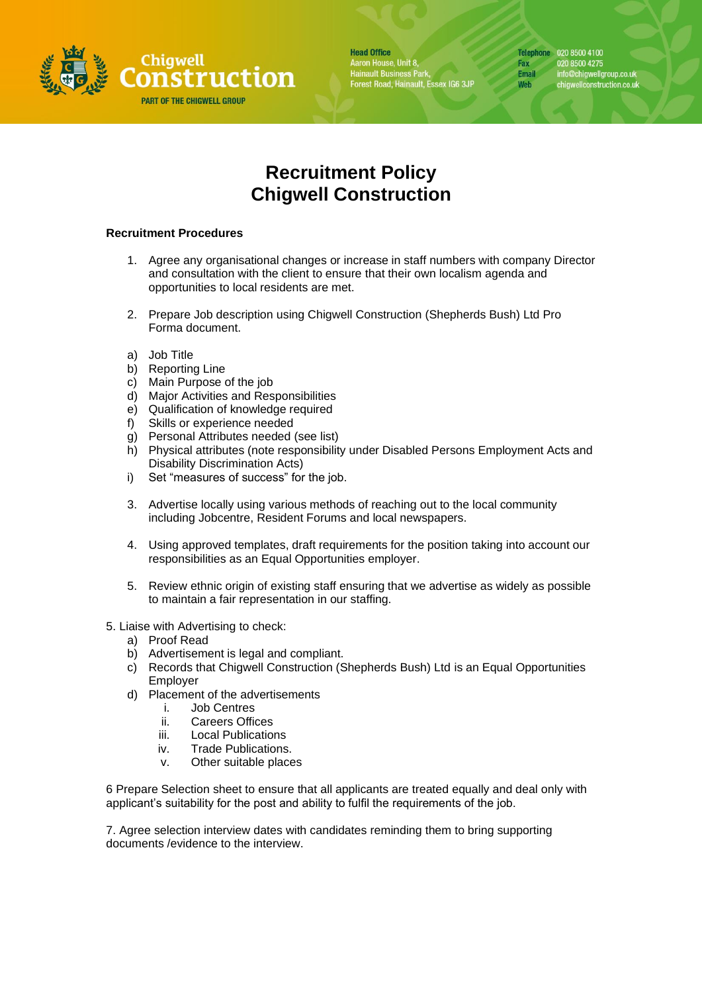

**Head Office** Aaron House, Unit 8,<br>Hainault Business Park,<br>Forest Road, Hainault, Essex IG6 3JP Telephone 020 8500 4100 Fax 020 8500 4275 info@chigwellgroup.co.uk<br>chigwellconstruction.co.uk **Email** Web

## **Recruitment Policy Chigwell Construction**

## **Recruitment Procedures**

- 1. Agree any organisational changes or increase in staff numbers with company Director and consultation with the client to ensure that their own localism agenda and opportunities to local residents are met.
- 2. Prepare Job description using Chigwell Construction (Shepherds Bush) Ltd Pro Forma document.
- a) Job Title
- b) Reporting Line
- c) Main Purpose of the job
- d) Major Activities and Responsibilities
- e) Qualification of knowledge required
- f) Skills or experience needed
- g) Personal Attributes needed (see list)
- h) Physical attributes (note responsibility under Disabled Persons Employment Acts and Disability Discrimination Acts)
- i) Set "measures of success" for the job.
- 3. Advertise locally using various methods of reaching out to the local community including Jobcentre, Resident Forums and local newspapers.
- 4. Using approved templates, draft requirements for the position taking into account our responsibilities as an Equal Opportunities employer.
- 5. Review ethnic origin of existing staff ensuring that we advertise as widely as possible to maintain a fair representation in our staffing.
- 5. Liaise with Advertising to check:
	- a) Proof Read
	- b) Advertisement is legal and compliant.
	- c) Records that Chigwell Construction (Shepherds Bush) Ltd is an Equal Opportunities Employer
	- d) Placement of the advertisements
		- i. Job Centres
		- ii. Careers Offices
		- iii. Local Publications
		- iv. Trade Publications.
		- v. Other suitable places

6 Prepare Selection sheet to ensure that all applicants are treated equally and deal only with applicant's suitability for the post and ability to fulfil the requirements of the job.

7. Agree selection interview dates with candidates reminding them to bring supporting documents /evidence to the interview.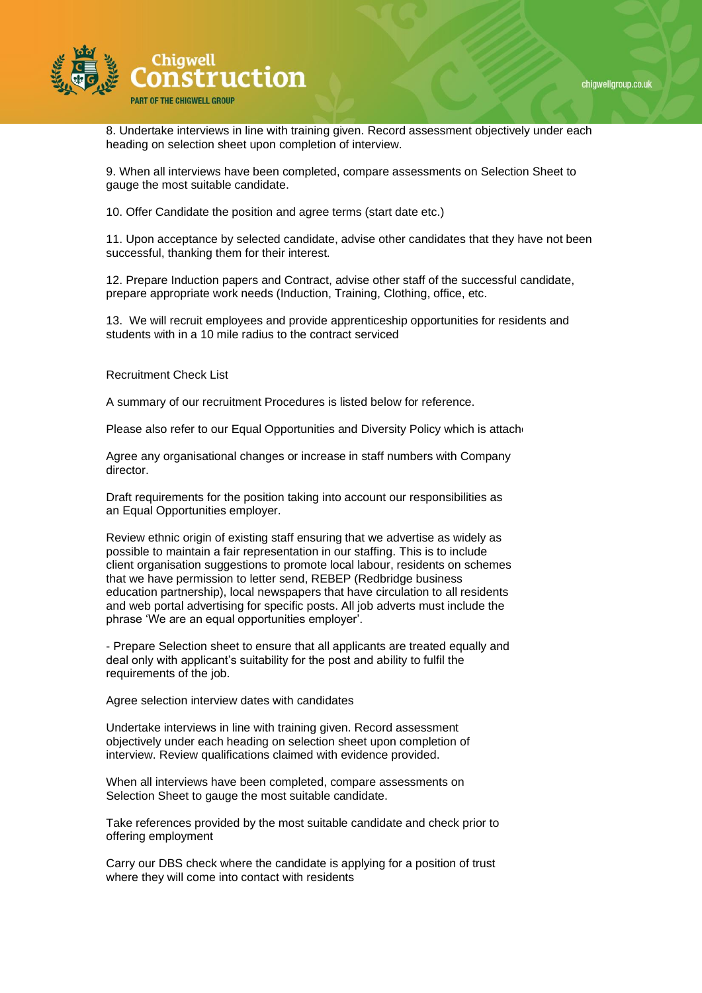

8. Undertake interviews in line with training given. Record assessment objectively under each heading on selection sheet upon completion of interview.

9. When all interviews have been completed, compare assessments on Selection Sheet to gauge the most suitable candidate.

10. Offer Candidate the position and agree terms (start date etc.)

11. Upon acceptance by selected candidate, advise other candidates that they have not been successful, thanking them for their interest.

12. Prepare Induction papers and Contract, advise other staff of the successful candidate, prepare appropriate work needs (Induction, Training, Clothing, office, etc.

13. We will recruit employees and provide apprenticeship opportunities for residents and students with in a 10 mile radius to the contract serviced

Recruitment Check List

A summary of our recruitment Procedures is listed below for reference.

Please also refer to our Equal Opportunities and Diversity Policy which is attached.

Agree any organisational changes or increase in staff numbers with Company director.

Draft requirements for the position taking into account our responsibilities as an Equal Opportunities employer.

Review ethnic origin of existing staff ensuring that we advertise as widely as possible to maintain a fair representation in our staffing. This is to include client organisation suggestions to promote local labour, residents on schemes that we have permission to letter send, REBEP (Redbridge business education partnership), local newspapers that have circulation to all residents and web portal advertising for specific posts. All job adverts must include the phrase 'We are an equal opportunities employer'.

- Prepare Selection sheet to ensure that all applicants are treated equally and deal only with applicant's suitability for the post and ability to fulfil the requirements of the job.

Agree selection interview dates with candidates

Undertake interviews in line with training given. Record assessment objectively under each heading on selection sheet upon completion of interview. Review qualifications claimed with evidence provided.

When all interviews have been completed, compare assessments on Selection Sheet to gauge the most suitable candidate.

Take references provided by the most suitable candidate and check prior to offering employment

Carry our DBS check where the candidate is applying for a position of trust where they will come into contact with residents